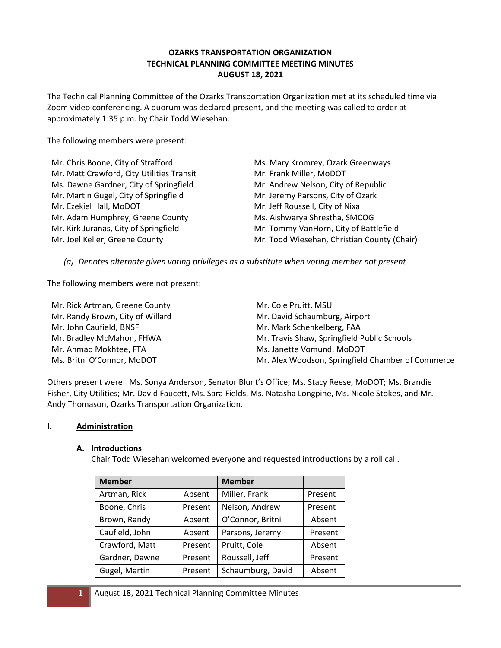### **OZARKS TRANSPORTATION ORGANIZATION TECHNICAL PLANNING COMMITTEE MEETING MINUTES AUGUST 18, 2021**

The Technical Planning Committee of the Ozarks Transportation Organization met at its scheduled time via Zoom video conferencing. A quorum was declared present, and the meeting was called to order at approximately 1:35 p.m. by Chair Todd Wiesehan.

The following members were present:

| Mr. Chris Boone, City of Strafford        | Ms. Mary Kromrey, Ozark Greenways           |
|-------------------------------------------|---------------------------------------------|
| Mr. Matt Crawford, City Utilities Transit | Mr. Frank Miller, MoDOT                     |
| Ms. Dawne Gardner, City of Springfield    | Mr. Andrew Nelson, City of Republic         |
| Mr. Martin Gugel, City of Springfield     | Mr. Jeremy Parsons, City of Ozark           |
| Mr. Ezekiel Hall, MoDOT                   | Mr. Jeff Roussell, City of Nixa             |
| Mr. Adam Humphrey, Greene County          | Ms. Aishwarya Shrestha, SMCOG               |
| Mr. Kirk Juranas, City of Springfield     | Mr. Tommy VanHorn, City of Battlefield      |
| Mr. Joel Keller, Greene County            | Mr. Todd Wiesehan, Christian County (Chair) |

*(a) Denotes alternate given voting privileges as a substitute when voting member not present*

The following members were not present:

| Mr. Rick Artman, Greene County   | Mr. Cole Pruitt, MSU                              |
|----------------------------------|---------------------------------------------------|
| Mr. Randy Brown, City of Willard | Mr. David Schaumburg, Airport                     |
| Mr. John Caufield, BNSF          | Mr. Mark Schenkelberg, FAA                        |
| Mr. Bradley McMahon, FHWA        | Mr. Travis Shaw, Springfield Public Schools       |
| Mr. Ahmad Mokhtee, FTA           | Ms. Janette Vomund, MoDOT                         |
| Ms. Britni O'Connor, MoDOT       | Mr. Alex Woodson, Springfield Chamber of Commerce |

Others present were: Ms. Sonya Anderson, Senator Blunt's Office; Ms. Stacy Reese, MoDOT; Ms. Brandie Fisher, City Utilities; Mr. David Faucett, Ms. Sara Fields, Ms. Natasha Longpine, Ms. Nicole Stokes, and Mr. Andy Thomason, Ozarks Transportation Organization.

#### **I. Administration**

#### **A. Introductions**

Chair Todd Wiesehan welcomed everyone and requested introductions by a roll call.

| <b>Member</b>  |         | <b>Member</b>     |         |
|----------------|---------|-------------------|---------|
| Artman, Rick   | Absent  | Miller, Frank     | Present |
| Boone, Chris   | Present | Nelson, Andrew    | Present |
| Brown, Randy   | Absent  | O'Connor, Britni  | Absent  |
| Caufield, John | Absent  | Parsons, Jeremy   | Present |
| Crawford, Matt | Present | Pruitt, Cole      | Absent  |
| Gardner, Dawne | Present | Roussell, Jeff    | Present |
| Gugel, Martin  | Present | Schaumburg, David | Absent  |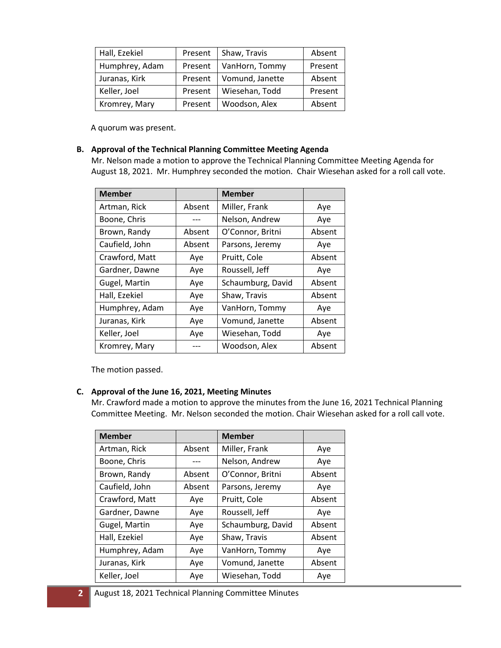| Hall, Ezekiel  | Present | Shaw, Travis    | Absent  |
|----------------|---------|-----------------|---------|
| Humphrey, Adam | Present | VanHorn, Tommy  | Present |
| Juranas, Kirk  | Present | Vomund, Janette | Absent  |
| Keller, Joel   | Present | Wiesehan, Todd  | Present |
| Kromrey, Mary  | Present | Woodson, Alex   | Absent  |

A quorum was present.

#### **B. Approval of the Technical Planning Committee Meeting Agenda**

Mr. Nelson made a motion to approve the Technical Planning Committee Meeting Agenda for August 18, 2021. Mr. Humphrey seconded the motion. Chair Wiesehan asked for a roll call vote.

| <b>Member</b>  |        | <b>Member</b>     |        |
|----------------|--------|-------------------|--------|
| Artman, Rick   | Absent | Miller, Frank     | Aye    |
| Boone, Chris   |        | Nelson, Andrew    | Aye    |
| Brown, Randy   | Absent | O'Connor, Britni  | Absent |
| Caufield, John | Absent | Parsons, Jeremy   | Aye    |
| Crawford, Matt | Aye    | Pruitt, Cole      | Absent |
| Gardner, Dawne | Aye    | Roussell, Jeff    | Aye    |
| Gugel, Martin  | Aye    | Schaumburg, David | Absent |
| Hall, Ezekiel  | Aye    | Shaw, Travis      | Absent |
| Humphrey, Adam | Aye    | VanHorn, Tommy    | Aye    |
| Juranas, Kirk  | Aye    | Vomund, Janette   | Absent |
| Keller, Joel   | Aye    | Wiesehan, Todd    | Aye    |
| Kromrey, Mary  |        | Woodson, Alex     | Absent |

The motion passed.

#### **C. Approval of the June 16, 2021, Meeting Minutes**

Mr. Crawford made a motion to approve the minutes from the June 16, 2021 Technical Planning Committee Meeting. Mr. Nelson seconded the motion. Chair Wiesehan asked for a roll call vote.

| <b>Member</b>  |        | <b>Member</b>     |        |
|----------------|--------|-------------------|--------|
| Artman, Rick   | Absent | Miller, Frank     | Aye    |
| Boone, Chris   |        | Nelson, Andrew    | Aye    |
| Brown, Randy   | Absent | O'Connor, Britni  | Absent |
| Caufield, John | Absent | Parsons, Jeremy   | Aye    |
| Crawford, Matt | Aye    | Pruitt, Cole      | Absent |
| Gardner, Dawne | Aye    | Roussell, Jeff    | Aye    |
| Gugel, Martin  | Aye    | Schaumburg, David | Absent |
| Hall, Ezekiel  | Aye    | Shaw, Travis      | Absent |
| Humphrey, Adam | Aye    | VanHorn, Tommy    | Aye    |
| Juranas, Kirk  | Aye    | Vomund, Janette   | Absent |
| Keller, Joel   | Aye    | Wiesehan, Todd    | Aye    |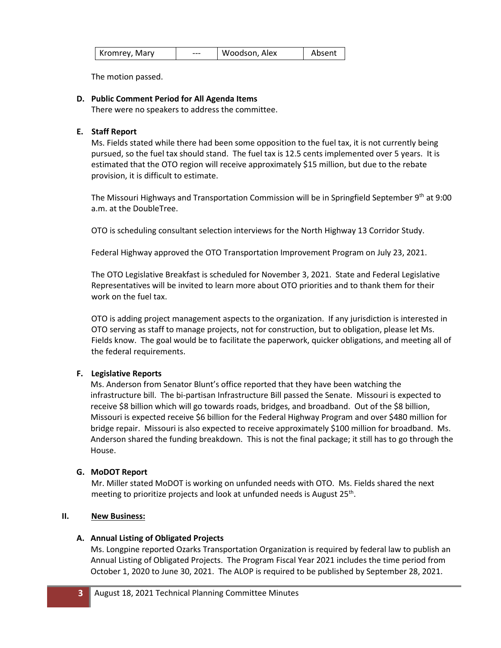| Kromrey, Mary | --- | Woodson, Alex | Absent |
|---------------|-----|---------------|--------|
|---------------|-----|---------------|--------|

The motion passed.

## **D. Public Comment Period for All Agenda Items**

There were no speakers to address the committee.

### **E. Staff Report**

Ms. Fields stated while there had been some opposition to the fuel tax, it is not currently being pursued, so the fuel tax should stand. The fuel tax is 12.5 cents implemented over 5 years. It is estimated that the OTO region will receive approximately \$15 million, but due to the rebate provision, it is difficult to estimate.

The Missouri Highways and Transportation Commission will be in Springfield September 9<sup>th</sup> at 9:00 a.m. at the DoubleTree.

OTO is scheduling consultant selection interviews for the North Highway 13 Corridor Study.

Federal Highway approved the OTO Transportation Improvement Program on July 23, 2021.

The OTO Legislative Breakfast is scheduled for November 3, 2021. State and Federal Legislative Representatives will be invited to learn more about OTO priorities and to thank them for their work on the fuel tax.

OTO is adding project management aspects to the organization. If any jurisdiction is interested in OTO serving as staff to manage projects, not for construction, but to obligation, please let Ms. Fields know. The goal would be to facilitate the paperwork, quicker obligations, and meeting all of the federal requirements.

# **F. Legislative Reports**

Ms. Anderson from Senator Blunt's office reported that they have been watching the infrastructure bill. The bi-partisan Infrastructure Bill passed the Senate. Missouri is expected to receive \$8 billion which will go towards roads, bridges, and broadband. Out of the \$8 billion, Missouri is expected receive \$6 billion for the Federal Highway Program and over \$480 million for bridge repair. Missouri is also expected to receive approximately \$100 million for broadband. Ms. Anderson shared the funding breakdown. This is not the final package; it still has to go through the House.

# **G. MoDOT Report**

Mr. Miller stated MoDOT is working on unfunded needs with OTO. Ms. Fields shared the next meeting to prioritize projects and look at unfunded needs is August 25<sup>th</sup>.

# **II. New Business:**

#### **A. Annual Listing of Obligated Projects**

Ms. Longpine reported Ozarks Transportation Organization is required by federal law to publish an Annual Listing of Obligated Projects. The Program Fiscal Year 2021 includes the time period from October 1, 2020 to June 30, 2021. The ALOP is required to be published by September 28, 2021.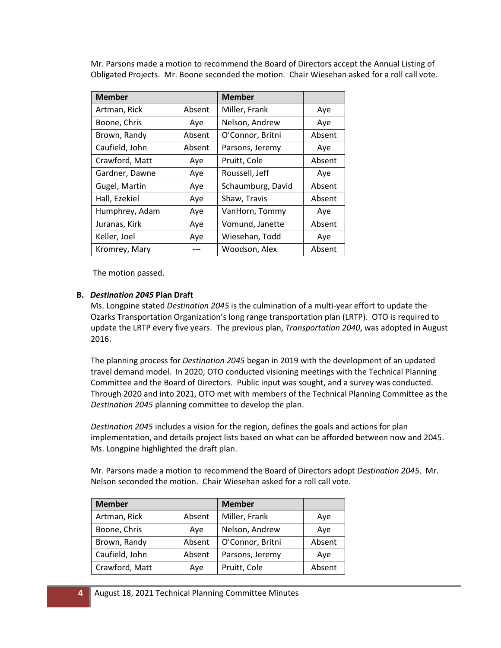Mr. Parsons made a motion to recommend the Board of Directors accept the Annual Listing of Obligated Projects. Mr. Boone seconded the motion. Chair Wiesehan asked for a roll call vote.

| <b>Member</b>  |        | <b>Member</b>     |        |
|----------------|--------|-------------------|--------|
| Artman, Rick   | Absent | Miller, Frank     | Aye    |
| Boone, Chris   | Aye    | Nelson, Andrew    | Aye    |
| Brown, Randy   | Absent | O'Connor, Britni  | Absent |
| Caufield, John | Absent | Parsons, Jeremy   | Aye    |
| Crawford, Matt | Aye    | Pruitt, Cole      | Absent |
| Gardner, Dawne | Aye    | Roussell, Jeff    | Aye    |
| Gugel, Martin  | Aye    | Schaumburg, David | Absent |
| Hall, Ezekiel  | Aye    | Shaw, Travis      | Absent |
| Humphrey, Adam | Aye    | VanHorn, Tommy    | Aye    |
| Juranas, Kirk  | Aye    | Vomund, Janette   | Absent |
| Keller, Joel   | Aye    | Wiesehan, Todd    | Aye    |
| Kromrey, Mary  |        | Woodson, Alex     | Absent |

The motion passed.

### **B.** *Destination 2045* **Plan Draft**

Ms. Longpine stated *Destination 2045* is the culmination of a multi-year effort to update the Ozarks Transportation Organization's long range transportation plan (LRTP). OTO is required to update the LRTP every five years. The previous plan, *Transportation 2040*, was adopted in August 2016.

The planning process for *Destination 2045* began in 2019 with the development of an updated travel demand model. In 2020, OTO conducted visioning meetings with the Technical Planning Committee and the Board of Directors. Public input was sought, and a survey was conducted. Through 2020 and into 2021, OTO met with members of the Technical Planning Committee as the *Destination 2045* planning committee to develop the plan.

*Destination 2045* includes a vision for the region, defines the goals and actions for plan implementation, and details project lists based on what can be afforded between now and 2045. Ms. Longpine highlighted the draft plan.

Mr. Parsons made a motion to recommend the Board of Directors adopt *Destination 2045*. Mr. Nelson seconded the motion. Chair Wiesehan asked for a roll call vote.

| <b>Member</b>  |        | <b>Member</b>    |        |
|----------------|--------|------------------|--------|
| Artman, Rick   | Absent | Miller, Frank    | Aye    |
| Boone, Chris   | Aye    | Nelson, Andrew   | Ave    |
| Brown, Randy   | Absent | O'Connor, Britni | Absent |
| Caufield, John | Absent | Parsons, Jeremy  | Ave    |
| Crawford, Matt | Ave    | Pruitt, Cole     | Absent |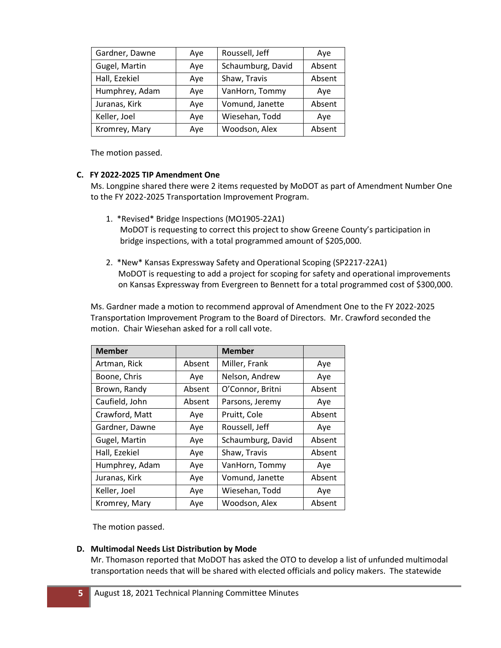| Gardner, Dawne | Aye | Roussell, Jeff    | Aye    |
|----------------|-----|-------------------|--------|
| Gugel, Martin  | Aye | Schaumburg, David | Absent |
| Hall, Ezekiel  | Aye | Shaw, Travis      | Absent |
| Humphrey, Adam | Aye | VanHorn, Tommy    | Ave    |
| Juranas, Kirk  | Aye | Vomund, Janette   | Absent |
| Keller, Joel   | Aye | Wiesehan, Todd    | Ave    |
| Kromrey, Mary  | Aye | Woodson, Alex     | Absent |

The motion passed.

### **C. FY 2022-2025 TIP Amendment One**

Ms. Longpine shared there were 2 items requested by MoDOT as part of Amendment Number One to the FY 2022-2025 Transportation Improvement Program.

- 1. \*Revised\* Bridge Inspections (MO1905-22A1) MoDOT is requesting to correct this project to show Greene County's participation in bridge inspections, with a total programmed amount of \$205,000.
- 2. \*New\* Kansas Expressway Safety and Operational Scoping (SP2217-22A1) MoDOT is requesting to add a project for scoping for safety and operational improvements on Kansas Expressway from Evergreen to Bennett for a total programmed cost of \$300,000.

Ms. Gardner made a motion to recommend approval of Amendment One to the FY 2022-2025 Transportation Improvement Program to the Board of Directors. Mr. Crawford seconded the motion. Chair Wiesehan asked for a roll call vote.

| <b>Member</b>  |        | <b>Member</b>     |        |
|----------------|--------|-------------------|--------|
| Artman, Rick   | Absent | Miller, Frank     | Aye    |
| Boone, Chris   | Aye    | Nelson, Andrew    | Aye    |
| Brown, Randy   | Absent | O'Connor, Britni  | Absent |
| Caufield, John | Absent | Parsons, Jeremy   | Aye    |
| Crawford, Matt | Aye    | Pruitt, Cole      | Absent |
| Gardner, Dawne | Aye    | Roussell, Jeff    | Aye    |
| Gugel, Martin  | Aye    | Schaumburg, David | Absent |
| Hall, Ezekiel  | Aye    | Shaw, Travis      | Absent |
| Humphrey, Adam | Aye    | VanHorn, Tommy    | Aye    |
| Juranas, Kirk  | Aye    | Vomund, Janette   | Absent |
| Keller, Joel   | Aye    | Wiesehan, Todd    | Aye    |
| Kromrey, Mary  | Aye    | Woodson, Alex     | Absent |

The motion passed.

# **D. Multimodal Needs List Distribution by Mode**

Mr. Thomason reported that MoDOT has asked the OTO to develop a list of unfunded multimodal transportation needs that will be shared with elected officials and policy makers. The statewide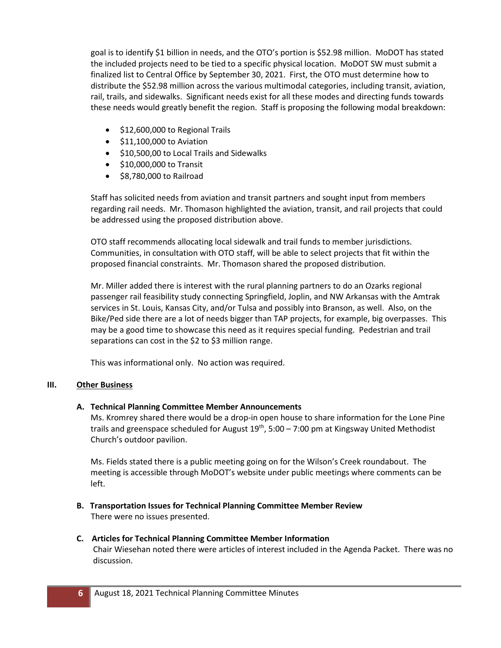goal is to identify \$1 billion in needs, and the OTO's portion is \$52.98 million. MoDOT has stated the included projects need to be tied to a specific physical location. MoDOT SW must submit a finalized list to Central Office by September 30, 2021. First, the OTO must determine how to distribute the \$52.98 million across the various multimodal categories, including transit, aviation, rail, trails, and sidewalks. Significant needs exist for all these modes and directing funds towards these needs would greatly benefit the region. Staff is proposing the following modal breakdown:

- \$12,600,000 to Regional Trails
- \$11,100,000 to Aviation
- \$10,500,00 to Local Trails and Sidewalks
- \$10,000,000 to Transit
- \$8,780,000 to Railroad

Staff has solicited needs from aviation and transit partners and sought input from members regarding rail needs. Mr. Thomason highlighted the aviation, transit, and rail projects that could be addressed using the proposed distribution above.

OTO staff recommends allocating local sidewalk and trail funds to member jurisdictions. Communities, in consultation with OTO staff, will be able to select projects that fit within the proposed financial constraints. Mr. Thomason shared the proposed distribution.

Mr. Miller added there is interest with the rural planning partners to do an Ozarks regional passenger rail feasibility study connecting Springfield, Joplin, and NW Arkansas with the Amtrak services in St. Louis, Kansas City, and/or Tulsa and possibly into Branson, as well. Also, on the Bike/Ped side there are a lot of needs bigger than TAP projects, for example, big overpasses. This may be a good time to showcase this need as it requires special funding. Pedestrian and trail separations can cost in the \$2 to \$3 million range.

This was informational only. No action was required.

# **III. Other Business**

# **A. Technical Planning Committee Member Announcements**

Ms. Kromrey shared there would be a drop-in open house to share information for the Lone Pine trails and greenspace scheduled for August  $19^{th}$ , 5:00 – 7:00 pm at Kingsway United Methodist Church's outdoor pavilion.

Ms. Fields stated there is a public meeting going on for the Wilson's Creek roundabout. The meeting is accessible through MoDOT's website under public meetings where comments can be left.

**B. Transportation Issues for Technical Planning Committee Member Review** There were no issues presented.

#### **C. Articles for Technical Planning Committee Member Information** Chair Wiesehan noted there were articles of interest included in the Agenda Packet. There was no discussion.